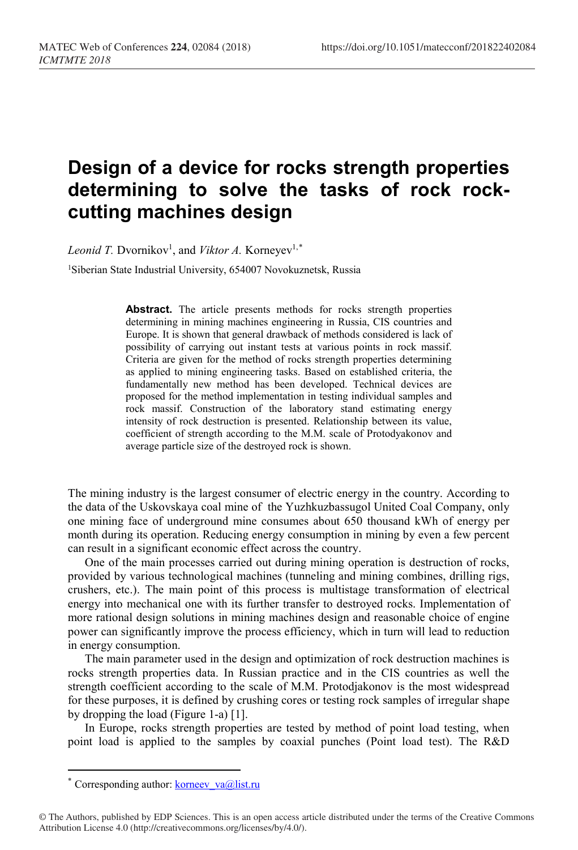## **Design of a device for rocks strength properties determining to solve the tasks of rock rockcutting machines design**

Leonid T. Dvornikov<sup>1</sup>, and *Viktor A*. Korneyev<sup>1,\*</sup>

1Siberian State Industrial University, 654007 Novokuznetsk, Russia

**Abstract.** The article presents methods for rocks strength properties determining in mining machines engineering in Russia, CIS countries and Europe. It is shown that general drawback of methods considered is lack of possibility of carrying out instant tests at various points in rock massif. Criteria are given for the method of rocks strength properties determining as applied to mining engineering tasks. Based on established criteria, the fundamentally new method has been developed. Technical devices are proposed for the method implementation in testing individual samples and rock massif. Construction of the laboratory stand estimating energy intensity of rock destruction is presented. Relationship between its value, coefficient of strength according to the M.M. scale of Protodyakonov and average particle size of the destroyed rock is shown.

The mining industry is the largest consumer of electric energy in the country. According to the data of the Uskovskaya coal mine of the Yuzhkuzbassugol United Coal Company, only one mining face of underground mine consumes about 650 thousand kWh of energy per month during its operation. Reducing energy consumption in mining by even a few percent can result in a significant economic effect across the country.

One of the main processes carried out during mining operation is destruction of rocks, provided by various technological machines (tunneling and mining combines, drilling rigs, crushers, etc.). The main point of this process is multistage transformation of electrical energy into mechanical one with its further transfer to destroyed rocks. Implementation of more rational design solutions in mining machines design and reasonable choice of engine power can significantly improve the process efficiency, which in turn will lead to reduction in energy consumption.

The main parameter used in the design and optimization of rock destruction machines is rocks strength properties data. In Russian practice and in the CIS countries as well the strength coefficient according to the scale of M.M. Protodjakonov is the most widespread for these purposes, it is defined by crushing cores or testing rock samples of irregular shape by dropping the load (Figure 1-a) [1].

In Europe, rocks strength properties are tested by method of point load testing, when point load is applied to the samples by coaxial punches (Point load test). The R&D

 $\overline{a}$ 

Corresponding author:  $k$ orneev\_va@list.ru

<span id="page-0-0"></span><sup>©</sup> The Authors, published by EDP Sciences. This is an open access article distributed under the terms of the Creative Commons Attribution License 4.0 (http://creativecommons.org/licenses/by/4.0/).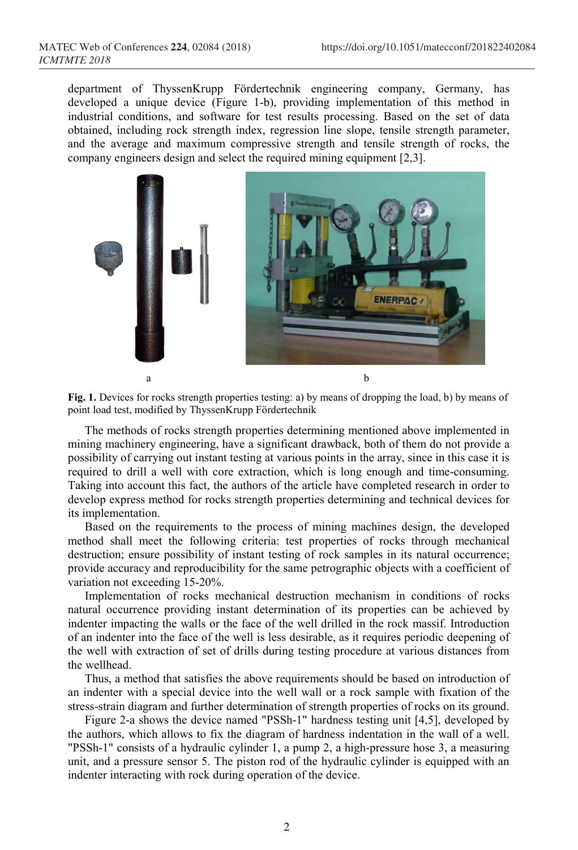department of ThyssenKrupp Fördertechnik engineering company, Germany, has developed a unique device (Figure 1-b), providing implementation of this method in industrial conditions, and software for test results processing. Based on the set of data obtained, including rock strength index, regression line slope, tensile strength parameter, and the average and maximum compressive strength and tensile strength of rocks, the company engineers design and select the required mining equipment [2,3].



**Fig. 1.** Devices for rocks strength properties testing: a) by means of dropping the load, b) by means of point load test, modified by ThyssenKrupp Fördertechnik

The methods of rocks strength properties determining mentioned above implemented in mining machinery engineering, have a significant drawback, both of them do not provide a possibility of carrying out instant testing at various points in the array, since in this case it is required to drill a well with core extraction, which is long enough and time-consuming. Taking into account this fact, the authors of the article have completed research in order to develop express method for rocks strength properties determining and technical devices for its implementation.

Based on the requirements to the process of mining machines design, the developed method shall meet the following criteria: test properties of rocks through mechanical destruction; ensure possibility of instant testing of rock samples in its natural occurrence; provide accuracy and reproducibility for the same petrographic objects with a coefficient of variation not exceeding 15-20%.

Implementation of rocks mechanical destruction mechanism in conditions of rocks natural occurrence providing instant determination of its properties can be achieved by indenter impacting the walls or the face of the well drilled in the rock massif. Introduction of an indenter into the face of the well is less desirable, as it requires periodic deepening of the well with extraction of set of drills during testing procedure at various distances from the wellhead.

Thus, a method that satisfies the above requirements should be based on introduction of an indenter with a special device into the well wall or a rock sample with fixation of the stress-strain diagram and further determination of strength properties of rocks on its ground.

Figure 2-a shows the device named "PSSh-1" hardness testing unit [4,5], developed by the authors, which allows to fix the diagram of hardness indentation in the wall of a well. "PSSh-1" consists of a hydraulic cylinder 1, a pump 2, a high-pressure hose 3, a measuring unit, and a pressure sensor 5. The piston rod of the hydraulic cylinder is equipped with an indenter interacting with rock during operation of the device.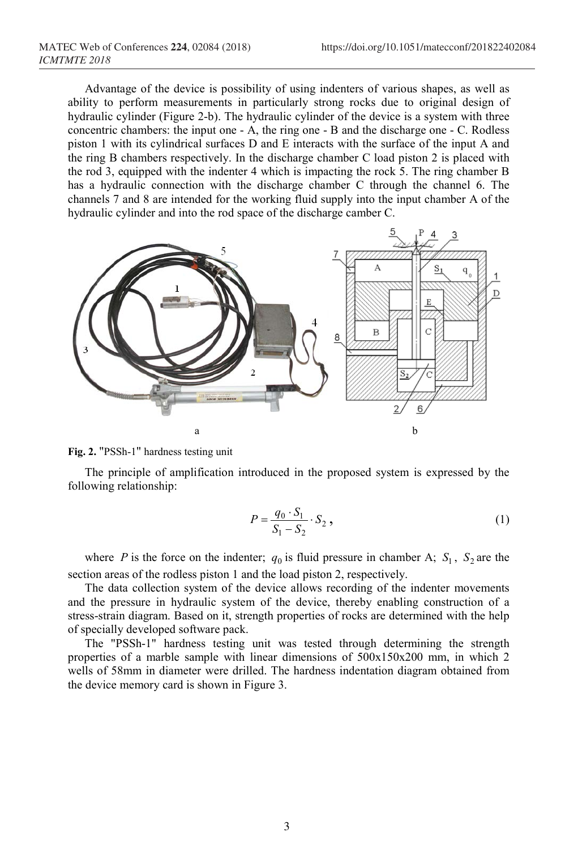Advantage of the device is possibility of using indenters of various shapes, as well as ability to perform measurements in particularly strong rocks due to original design of hydraulic cylinder (Figure 2-b). The hydraulic cylinder of the device is a system with three concentric chambers: the input one - A, the ring one - B and the discharge one - C. Rodless piston 1 with its cylindrical surfaces D and E interacts with the surface of the input A and the ring B chambers respectively. In the discharge chamber C load piston 2 is placed with the rod 3, equipped with the indenter 4 which is impacting the rock 5. The ring chamber B has a hydraulic connection with the discharge chamber C through the channel 6. The channels 7 and 8 are intended for the working fluid supply into the input chamber A of the hydraulic cylinder and into the rod space of the discharge camber C.



**Fig. 2.** "PSSh-1" hardness testing unit

The principle of amplification introduced in the proposed system is expressed by the following relationship:

$$
P = \frac{q_0 \cdot S_1}{S_1 - S_2} \cdot S_2, \qquad (1)
$$

where *P* is the force on the indenter;  $q_0$  is fluid pressure in chamber A;  $S_1$ ,  $S_2$  are the section areas of the rodless piston 1 and the load piston 2, respectively.

The data collection system of the device allows recording of the indenter movements and the pressure in hydraulic system of the device, thereby enabling construction of a stress-strain diagram. Based on it, strength properties of rocks are determined with the help of specially developed software pack.

The "PSSh-1" hardness testing unit was tested through determining the strength properties of a marble sample with linear dimensions of 500x150x200 mm, in which 2 wells of 58mm in diameter were drilled. The hardness indentation diagram obtained from the device memory card is shown in Figure 3.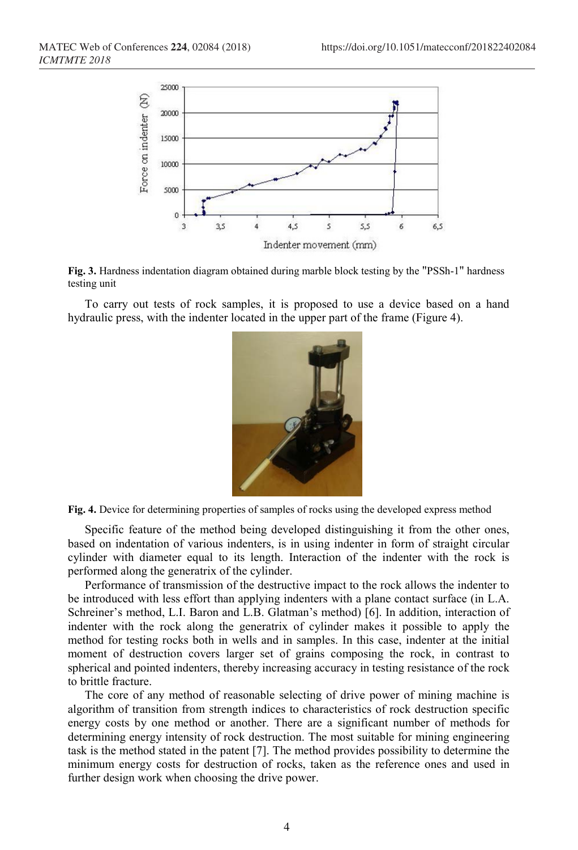

**Fig. 3.** Hardness indentation diagram obtained during marble block testing by the "PSSh-1" hardness testing unit

To carry out tests of rock samples, it is proposed to use a device based on a hand hydraulic press, with the indenter located in the upper part of the frame (Figure 4).





Specific feature of the method being developed distinguishing it from the other ones, based on indentation of various indenters, is in using indenter in form of straight circular cylinder with diameter equal to its length. Interaction of the indenter with the rock is performed along the generatrix of the cylinder.

Performance of transmission of the destructive impact to the rock allows the indenter to be introduced with less effort than applying indenters with a plane contact surface (in L.A. Schreiner's method, L.I. Baron and L.B. Glatman's method) [6]. In addition, interaction of indenter with the rock along the generatrix of cylinder makes it possible to apply the method for testing rocks both in wells and in samples. In this case, indenter at the initial moment of destruction covers larger set of grains composing the rock, in contrast to spherical and pointed indenters, thereby increasing accuracy in testing resistance of the rock to brittle fracture.

The core of any method of reasonable selecting of drive power of mining machine is algorithm of transition from strength indices to characteristics of rock destruction specific energy costs by one method or another. There are a significant number of methods for determining energy intensity of rock destruction. The most suitable for mining engineering task is the method stated in the patent [7]. The method provides possibility to determine the minimum energy costs for destruction of rocks, taken as the reference ones and used in further design work when choosing the drive power.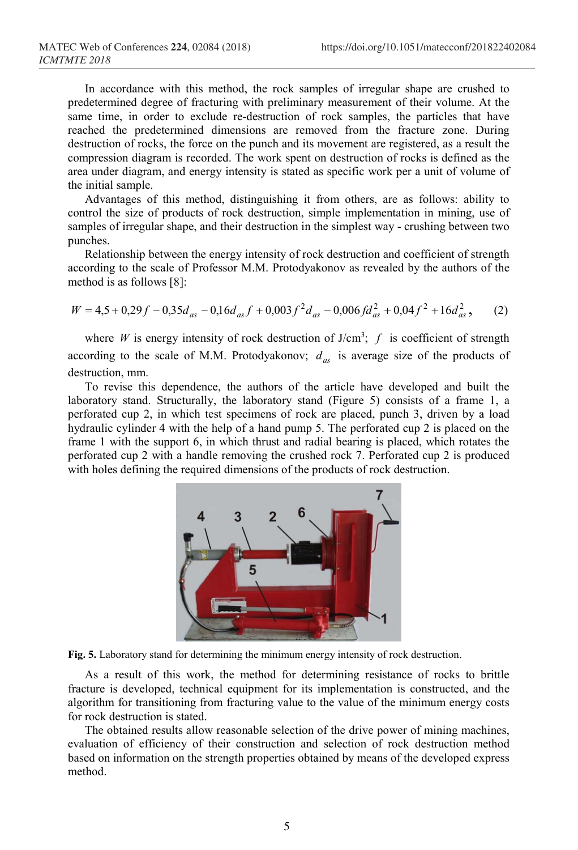In accordance with this method, the rock samples of irregular shape are crushed to predetermined degree of fracturing with preliminary measurement of their volume. At the same time, in order to exclude re-destruction of rock samples, the particles that have reached the predetermined dimensions are removed from the fracture zone. During destruction of rocks, the force on the punch and its movement are registered, as a result the compression diagram is recorded. The work spent on destruction of rocks is defined as the area under diagram, and energy intensity is stated as specific work per a unit of volume of the initial sample.

Advantages of this method, distinguishing it from others, are as follows: ability to control the size of products of rock destruction, simple implementation in mining, use of samples of irregular shape, and their destruction in the simplest way - crushing between two punches.

Relationship between the energy intensity of rock destruction and coefficient of strength according to the scale of Professor M.M. Protodyakonov as revealed by the authors of the method is as follows [8]:

$$
W = 4,5 + 0,29f - 0,35d_{as} - 0,16d_{as}f + 0,003f^2d_{as} - 0,006fd_{as}^2 + 0,04f^2 + 16d_{as}^2, \tag{2}
$$

where *W* is energy intensity of rock destruction of  $J/cm^3$ ;  $f$  is coefficient of strength according to the scale of M.M. Protodyakonov;  $d_{as}$  is average size of the products of destruction, mm.

To revise this dependence, the authors of the article have developed and built the laboratory stand. Structurally, the laboratory stand (Figure 5) consists of a frame 1, a perforated cup 2, in which test specimens of rock are placed, punch 3, driven by a load hydraulic cylinder 4 with the help of a hand pump 5. The perforated cup 2 is placed on the frame 1 with the support 6, in which thrust and radial bearing is placed, which rotates the perforated cup 2 with a handle removing the crushed rock 7. Perforated cup 2 is produced with holes defining the required dimensions of the products of rock destruction.



**Fig. 5.** Laboratory stand for determining the minimum energy intensity of rock destruction.

As a result of this work, the method for determining resistance of rocks to brittle fracture is developed, technical equipment for its implementation is constructed, and the algorithm for transitioning from fracturing value to the value of the minimum energy costs for rock destruction is stated.

The obtained results allow reasonable selection of the drive power of mining machines, evaluation of efficiency of their construction and selection of rock destruction method based on information on the strength properties obtained by means of the developed express method.